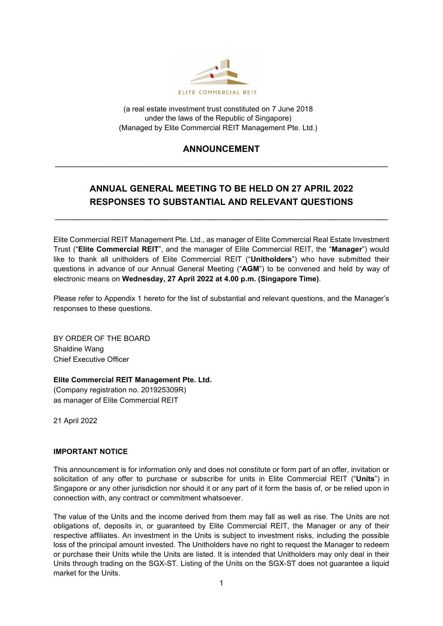

(a real estate investment trust constituted on 7 June 2018 under the laws of the Republic of Singapore) (Managed by Elite Commercial REIT Management Pte. Ltd.)

## **ANNOUNCEMENT** \_\_\_\_\_\_\_\_\_\_\_\_\_\_\_\_\_\_\_\_\_\_\_\_\_\_\_\_\_\_\_\_\_\_\_\_\_\_\_\_\_\_\_\_\_\_\_\_\_\_\_\_\_\_\_\_\_\_\_\_\_\_\_\_\_\_\_

## **ANNUAL GENERAL MEETING TO BE HELD ON 27 APRIL 2022 RESPONSES TO SUBSTANTIAL AND RELEVANT QUESTIONS**

\_\_\_\_\_\_\_\_\_\_\_\_\_\_\_\_\_\_\_\_\_\_\_\_\_\_\_\_\_\_\_\_\_\_\_\_\_\_\_\_\_\_\_\_\_\_\_\_\_\_\_\_\_\_\_\_\_\_\_\_\_\_\_\_\_\_\_

Elite Commercial REIT Management Pte. Ltd., as manager of Elite Commercial Real Estate Investment Trust ("**Elite Commercial REIT**", and the manager of Elite Commercial REIT, the "**Manager**") would like to thank all unitholders of Elite Commercial REIT ("**Unitholders**") who have submitted their questions in advance of our Annual General Meeting ("**AGM**") to be convened and held by way of electronic means on **Wednesday, 27 April 2022 at 4.00 p.m. (Singapore Time)**.

Please refer to Appendix 1 hereto for the list of substantial and relevant questions, and the Manager's responses to these questions.

BY ORDER OF THE BOARD Shaldine Wang Chief Executive Officer

**Elite Commercial REIT Management Pte. Ltd.**

(Company registration no. 201925309R) as manager of Elite Commercial REIT

21 April 2022

## **IMPORTANT NOTICE**

This announcement is for information only and does not constitute or form part of an offer, invitation or solicitation of any offer to purchase or subscribe for units in Elite Commercial REIT ("**Units**") in Singapore or any other jurisdiction nor should it or any part of it form the basis of, or be relied upon in connection with, any contract or commitment whatsoever.

The value of the Units and the income derived from them may fall as well as rise. The Units are not obligations of, deposits in, or guaranteed by Elite Commercial REIT, the Manager or any of their respective affiliates. An investment in the Units is subject to investment risks, including the possible loss of the principal amount invested. The Unitholders have no right to request the Manager to redeem or purchase their Units while the Units are listed. It is intended that Unitholders may only deal in their Units through trading on the SGX-ST. Listing of the Units on the SGX-ST does not guarantee a liquid market for the Units.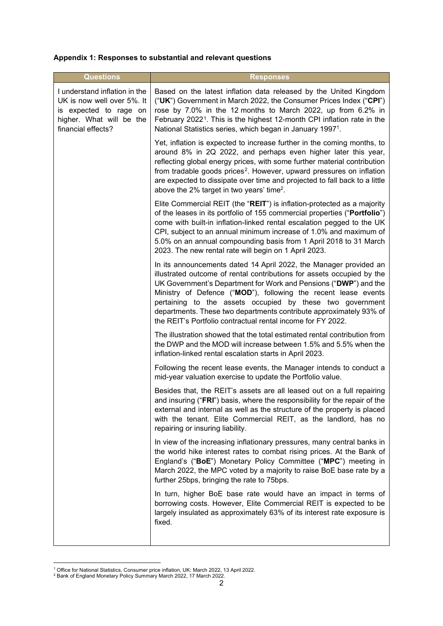## **Appendix 1: Responses to substantial and relevant questions**

| <b>Questions</b>                                                                                                                        | <b>Responses</b>                                                                                                                                                                                                                                                                                                                                                                                                                                                                    |
|-----------------------------------------------------------------------------------------------------------------------------------------|-------------------------------------------------------------------------------------------------------------------------------------------------------------------------------------------------------------------------------------------------------------------------------------------------------------------------------------------------------------------------------------------------------------------------------------------------------------------------------------|
| I understand inflation in the<br>UK is now well over 5%. It<br>is expected to rage on<br>higher. What will be the<br>financial effects? | Based on the latest inflation data released by the United Kingdom<br>("UK") Government in March 2022, the Consumer Prices Index ("CPI")<br>rose by 7.0% in the 12 months to March 2022, up from 6.2% in<br>February 2022 <sup>1</sup> . This is the highest 12-month CPI inflation rate in the<br>National Statistics series, which began in January 1997 <sup>1</sup> .                                                                                                            |
|                                                                                                                                         | Yet, inflation is expected to increase further in the coming months, to<br>around 8% in 2Q 2022, and perhaps even higher later this year,<br>reflecting global energy prices, with some further material contribution<br>from tradable goods prices <sup>2</sup> . However, upward pressures on inflation<br>are expected to dissipate over time and projected to fall back to a little<br>above the 2% target in two years' time <sup>2</sup> .                                    |
|                                                                                                                                         | Elite Commercial REIT (the "REIT") is inflation-protected as a majority<br>of the leases in its portfolio of 155 commercial properties ("Portfolio")<br>come with built-in inflation-linked rental escalation pegged to the UK<br>CPI, subject to an annual minimum increase of 1.0% and maximum of<br>5.0% on an annual compounding basis from 1 April 2018 to 31 March<br>2023. The new rental rate will begin on 1 April 2023.                                                   |
|                                                                                                                                         | In its announcements dated 14 April 2022, the Manager provided an<br>illustrated outcome of rental contributions for assets occupied by the<br>UK Government's Department for Work and Pensions ("DWP") and the<br>Ministry of Defence ("MOD"), following the recent lease events<br>pertaining to the assets occupied by these two government<br>departments. These two departments contribute approximately 93% of<br>the REIT's Portfolio contractual rental income for FY 2022. |
|                                                                                                                                         | The illustration showed that the total estimated rental contribution from<br>the DWP and the MOD will increase between 1.5% and 5.5% when the<br>inflation-linked rental escalation starts in April 2023.                                                                                                                                                                                                                                                                           |
|                                                                                                                                         | Following the recent lease events, the Manager intends to conduct a<br>mid-year valuation exercise to update the Portfolio value.                                                                                                                                                                                                                                                                                                                                                   |
|                                                                                                                                         | Besides that, the REIT's assets are all leased out on a full repairing<br>and insuring ("FRI") basis, where the responsibility for the repair of the<br>external and internal as well as the structure of the property is placed<br>with the tenant. Elite Commercial REIT, as the landlord, has no<br>repairing or insuring liability.                                                                                                                                             |
|                                                                                                                                         | In view of the increasing inflationary pressures, many central banks in<br>the world hike interest rates to combat rising prices. At the Bank of<br>England's ("BoE") Monetary Policy Committee ("MPC") meeting in<br>March 2022, the MPC voted by a majority to raise BoE base rate by a<br>further 25bps, bringing the rate to 75bps.                                                                                                                                             |
|                                                                                                                                         | In turn, higher BoE base rate would have an impact in terms of<br>borrowing costs. However, Elite Commercial REIT is expected to be<br>largely insulated as approximately 63% of its interest rate exposure is<br>fixed.                                                                                                                                                                                                                                                            |

<span id="page-1-1"></span><span id="page-1-0"></span><sup>&</sup>lt;sup>1</sup> Office for National Statistics, Consumer price inflation, UK: March 2022, 13 April 2022.